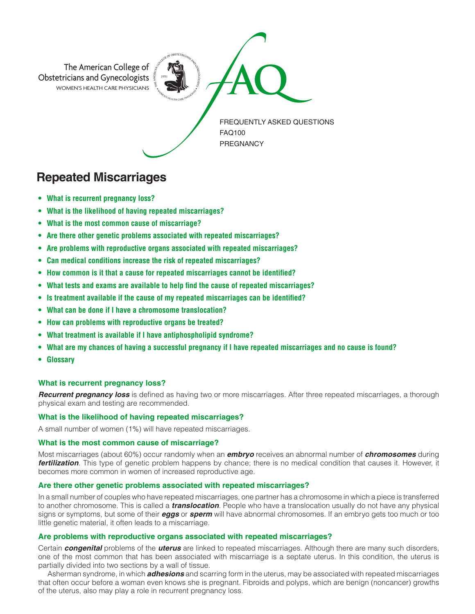

# **Repeated Miscarriages**

- **• What is recurrent pregnancy loss?**
- **• What is the likelihood of having repeated miscarriages?**
- **• What is the most common cause of miscarriage?**
- **• Are there other genetic problems associated with repeated miscarriages?**
- **• Are problems with reproductive organs associated with repeated miscarriages?**
- **• Can medical conditions increase the risk of repeated miscarriages?**
- **• How common is it that a cause for repeated miscarriages cannot be identified?**
- **• What tests and exams are available to help find the cause of repeated miscarriages?**
- **• Is treatment available if the cause of my repeated miscarriages can be identified?**
- **• What can be done if I have a chromosome translocation?**
- **• How can problems with reproductive organs be treated?**
- **• What treatment is available if I have antiphospholipid syndrome?**
- **• What are my chances of having a successful pregnancy if I have repeated miscarriages and no cause is found?**
- **• Glossary**

# **What is recurrent pregnancy loss?**

*Recurrent pregnancy loss* is defined as having two or more miscarriages. After three repeated miscarriages, a thorough physical exam and testing are recommended.

# **What is the likelihood of having repeated miscarriages?**

A small number of women (1%) will have repeated miscarriages.

# **What is the most common cause of miscarriage?**

Most miscarriages (about 60%) occur randomly when an *embryo* receives an abnormal number of *chromosomes* during *fertilization*. This type of genetic problem happens by chance; there is no medical condition that causes it. However, it becomes more common in women of increased reproductive age.

# **Are there other genetic problems associated with repeated miscarriages?**

In a small number of couples who have repeated miscarriages, one partner has a chromosome in which a piece is transferred to another chromosome. This is called a *translocation*. People who have a translocation usually do not have any physical signs or symptoms, but some of their *eggs* or *sperm* will have abnormal chromosomes. If an embryo gets too much or too little genetic material, it often leads to a miscarriage.

# **Are problems with reproductive organs associated with repeated miscarriages?**

Certain *congenital* problems of the *uterus* are linked to repeated miscarriages. Although there are many such disorders, one of the most common that has been associated with miscarriage is a septate uterus. In this condition, the uterus is partially divided into two sections by a wall of tissue.

Asherman syndrome, in which *adhesions* and scarring form in the uterus, may be associated with repeated miscarriages that often occur before a woman even knows she is pregnant. Fibroids and polyps, which are benign (noncancer) growths of the uterus, also may play a role in recurrent pregnancy loss.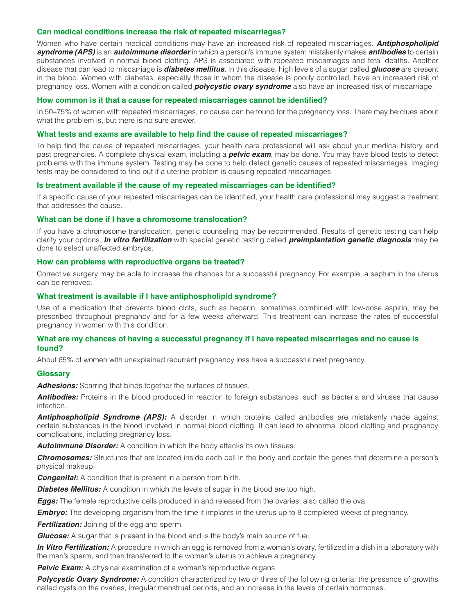## **Can medical conditions increase the risk of repeated miscarriages?**

Women who have certain medical conditions may have an increased risk of repeated miscarriages. *Antiphospholipid syndrome (APS)* is an *autoimmune disorder* in which a person's immune system mistakenly makes *antibodies* to certain substances involved in normal blood clotting. APS is associated with repeated miscarriages and fetal deaths. Another disease that can lead to miscarriage is *diabetes mellitus*. In this disease, high levels of a sugar called *glucose* are present in the blood. Women with diabetes, especially those in whom the disease is poorly controlled, have an increased risk of pregnancy loss. Women with a condition called *polycystic ovary syndrome* also have an increased risk of miscarriage.

### **How common is it that a cause for repeated miscarriages cannot be identified?**

In 50–75% of women with repeated miscarriages, no cause can be found for the pregnancy loss. There may be clues about what the problem is, but there is no sure answer.

#### **What tests and exams are available to help find the cause of repeated miscarriages?**

To help find the cause of repeated miscarriages, your health care professional will ask about your medical history and past pregnancies. A complete physical exam, including a *pelvic exam*, may be done. You may have blood tests to detect problems with the immune system. Testing may be done to help detect genetic causes of repeated miscarriages. Imaging tests may be considered to find out if a uterine problem is causing repeated miscarriages.

#### **Is treatment available if the cause of my repeated miscarriages can be identified?**

If a specific cause of your repeated miscarriages can be identified, your health care professional may suggest a treatment that addresses the cause.

## **What can be done if I have a chromosome translocation?**

If you have a chromosome translocation, genetic counseling may be recommended. Results of genetic testing can help clarify your options. *In vitro fertilization* with special genetic testing called *preimplantation genetic diagnosis* may be done to select unaffected embryos.

#### **How can problems with reproductive organs be treated?**

Corrective surgery may be able to increase the chances for a successful pregnancy. For example, a septum in the uterus can be removed.

## **What treatment is available if I have antiphospholipid syndrome?**

Use of a medication that prevents blood clots, such as heparin, sometimes combined with low-dose aspirin, may be prescribed throughout pregnancy and for a few weeks afterward. This treatment can increase the rates of successful pregnancy in women with this condition.

## **What are my chances of having a successful pregnancy if I have repeated miscarriages and no cause is found?**

About 65% of women with unexplained recurrent pregnancy loss have a successful next pregnancy.

#### **Glossary**

*Adhesions:* Scarring that binds together the surfaces of tissues.

**Antibodies:** Proteins in the blood produced in reaction to foreign substances, such as bacteria and viruses that cause infection.

*Antiphospholipid Syndrome (APS):* A disorder in which proteins called antibodies are mistakenly made against certain substances in the blood involved in normal blood clotting. It can lead to abnormal blood clotting and pregnancy complications, including pregnancy loss.

*Autoimmune Disorder:* A condition in which the body attacks its own tissues.

*Chromosomes:* Structures that are located inside each cell in the body and contain the genes that determine a person's physical makeup.

*Congenital:* A condition that is present in a person from birth.

**Diabetes Mellitus:** A condition in which the levels of sugar in the blood are too high.

*Eggs:* The female reproductive cells produced in and released from the ovaries; also called the ova.

*Embryo:* The developing organism from the time it implants in the uterus up to 8 completed weeks of pregnancy.

*Fertilization:* Joining of the egg and sperm.

*Glucose:* A sugar that is present in the blood and is the body's main source of fuel.

*In Vitro Fertilization:* A procedure in which an egg is removed from a woman's ovary, fertilized in a dish in a laboratory with the man's sperm, and then transferred to the woman's uterus to achieve a pregnancy.

**Pelvic Exam:** A physical examination of a woman's reproductive organs.

**Polycystic Ovary Syndrome:** A condition characterized by two or three of the following criteria: the presence of growths called cysts on the ovaries, irregular menstrual periods, and an increase in the levels of certain hormones.